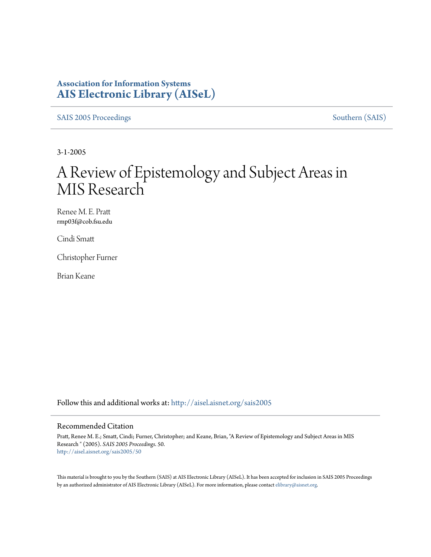# **Association for Information Systems [AIS Electronic Library \(AISeL\)](http://aisel.aisnet.org?utm_source=aisel.aisnet.org%2Fsais2005%2F50&utm_medium=PDF&utm_campaign=PDFCoverPages)**

[SAIS 2005 Proceedings](http://aisel.aisnet.org/sais2005?utm_source=aisel.aisnet.org%2Fsais2005%2F50&utm_medium=PDF&utm_campaign=PDFCoverPages) [Southern \(SAIS\)](http://aisel.aisnet.org/sais?utm_source=aisel.aisnet.org%2Fsais2005%2F50&utm_medium=PDF&utm_campaign=PDFCoverPages)

3-1-2005

# A Review of Epistemology and Subject Areas in MIS Research

Renee M. E. Pratt rmp03f@cob.fsu.edu

Cindi Smatt

Christopher Furner

Brian Keane

Follow this and additional works at: [http://aisel.aisnet.org/sais2005](http://aisel.aisnet.org/sais2005?utm_source=aisel.aisnet.org%2Fsais2005%2F50&utm_medium=PDF&utm_campaign=PDFCoverPages)

#### Recommended Citation

Pratt, Renee M. E.; Smatt, Cindi; Furner, Christopher; and Keane, Brian, "A Review of Epistemology and Subject Areas in MIS Research " (2005). *SAIS 2005 Proceedings*. 50. [http://aisel.aisnet.org/sais2005/50](http://aisel.aisnet.org/sais2005/50?utm_source=aisel.aisnet.org%2Fsais2005%2F50&utm_medium=PDF&utm_campaign=PDFCoverPages)

This material is brought to you by the Southern (SAIS) at AIS Electronic Library (AISeL). It has been accepted for inclusion in SAIS 2005 Proceedings by an authorized administrator of AIS Electronic Library (AISeL). For more information, please contact [elibrary@aisnet.org](mailto:elibrary@aisnet.org%3E).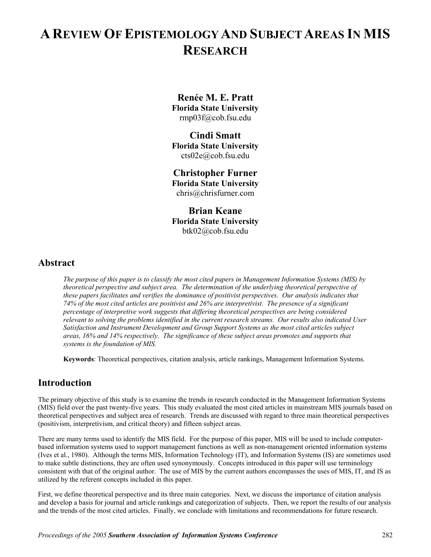# **A REVIEW OF EPISTEMOLOGY AND SUBJECT AREAS IN MIS RESEARCH**

# **Renée M. E. Pratt**

**Florida State University**  rmp03f@cob.fsu.edu

### **Cindi Smatt**

**Florida State University**  cts02e@cob.fsu.edu

## **Christopher Furner**

**Florida State University**  chris@chrisfurner.com

### **Brian Keane Florida State University**  btk02@cob.fsu.edu

### **Abstract**

*The purpose of this paper is to classify the most cited papers in Management Information Systems (MIS) by theoretical perspective and subject area. The determination of the underlying theoretical perspective of these papers facilitates and verifies the dominance of positivist perspectives. Our analysis indicates that 74% of the most cited articles are positivist and 26% are interpretivist. The presence of a significant percentage of interpretive work suggests that differing theoretical perspectives are being considered relevant to solving the problems identified in the current research streams. Our results also indicated User Satisfaction and Instrument Development and Group Support Systems as the most cited articles subject areas, 16% and 14% respectively. The significance of these subject areas promotes and supports that systems is the foundation of MIS.* 

**Keywords**: Theoretical perspectives, citation analysis, article rankings, Management Information Systems.

# **Introduction**

The primary objective of this study is to examine the trends in research conducted in the Management Information Systems (MIS) field over the past twenty-five years. This study evaluated the most cited articles in mainstream MIS journals based on theoretical perspectives and subject area of research. Trends are discussed with regard to three main theoretical perspectives (positivism, interpretivism, and critical theory) and fifteen subject areas.

There are many terms used to identify the MIS field. For the purpose of this paper, MIS will be used to include computerbased information systems used to support management functions as well as non-management oriented information systems (Ives et al., 1980). Although the terms MIS, Information Technology (IT), and Information Systems (IS) are sometimes used to make subtle distinctions, they are often used synonymously. Concepts introduced in this paper will use terminology consistent with that of the original author. The use of MIS by the current authors encompasses the uses of MIS, IT, and IS as utilized by the referent concepts included in this paper.

First, we define theoretical perspective and its three main categories. Next, we discuss the importance of citation analysis and develop a basis for journal and article rankings and categorization of subjects. Then, we report the results of our analysis and the trends of the most cited articles. Finally, we conclude with limitations and recommendations for future research.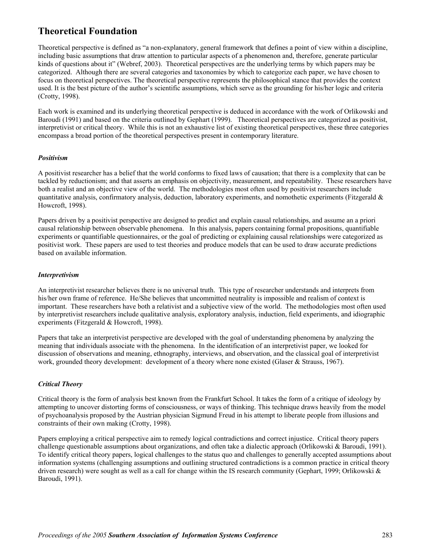# **Theoretical Foundation**

Theoretical perspective is defined as "a non-explanatory, general framework that defines a point of view within a discipline, including basic assumptions that draw attention to particular aspects of a phenomenon and, therefore, generate particular kinds of questions about it" (Webref, 2003). Theoretical perspectives are the underlying terms by which papers may be categorized. Although there are several categories and taxonomies by which to categorize each paper, we have chosen to focus on theoretical perspectives. The theoretical perspective represents the philosophical stance that provides the context used. It is the best picture of the author's scientific assumptions, which serve as the grounding for his/her logic and criteria (Crotty, 1998).

Each work is examined and its underlying theoretical perspective is deduced in accordance with the work of Orlikowski and Baroudi (1991) and based on the criteria outlined by Gephart (1999). Theoretical perspectives are categorized as positivist, interpretivist or critical theory. While this is not an exhaustive list of existing theoretical perspectives, these three categories encompass a broad portion of the theoretical perspectives present in contemporary literature.

### *Positivism*

A positivist researcher has a belief that the world conforms to fixed laws of causation; that there is a complexity that can be tackled by reductionism; and that asserts an emphasis on objectivity, measurement, and repeatability. These researchers have both a realist and an objective view of the world. The methodologies most often used by positivist researchers include quantitative analysis, confirmatory analysis, deduction, laboratory experiments, and nomothetic experiments (Fitzgerald  $\&$ Howcroft, 1998).

Papers driven by a positivist perspective are designed to predict and explain causal relationships, and assume an a priori causal relationship between observable phenomena. In this analysis, papers containing formal propositions, quantifiable experiments or quantifiable questionnaires, or the goal of predicting or explaining causal relationships were categorized as positivist work. These papers are used to test theories and produce models that can be used to draw accurate predictions based on available information.

### *Interpretivism*

An interpretivist researcher believes there is no universal truth. This type of researcher understands and interprets from his/her own frame of reference. He/She believes that uncommitted neutrality is impossible and realism of context is important. These researchers have both a relativist and a subjective view of the world. The methodologies most often used by interpretivist researchers include qualitative analysis, exploratory analysis, induction, field experiments, and idiographic experiments (Fitzgerald & Howcroft, 1998).

Papers that take an interpretivist perspective are developed with the goal of understanding phenomena by analyzing the meaning that individuals associate with the phenomena. In the identification of an interpretivist paper, we looked for discussion of observations and meaning, ethnography, interviews, and observation, and the classical goal of interpretivist work, grounded theory development: development of a theory where none existed (Glaser & Strauss, 1967).

### *Critical Theory*

Critical theory is the form of analysis best known from the Frankfurt School. It takes the form of a critique of ideology by attempting to uncover distorting forms of consciousness, or ways of thinking. This technique draws heavily from the model of psychoanalysis proposed by the Austrian physician Sigmund Freud in his attempt to liberate people from illusions and constraints of their own making (Crotty, 1998).

Papers employing a critical perspective aim to remedy logical contradictions and correct injustice. Critical theory papers challenge questionable assumptions about organizations, and often take a dialectic approach (Orlikowski & Baroudi, 1991). To identify critical theory papers, logical challenges to the status quo and challenges to generally accepted assumptions about information systems (challenging assumptions and outlining structured contradictions is a common practice in critical theory driven research) were sought as well as a call for change within the IS research community (Gephart, 1999; Orlikowski & Baroudi, 1991).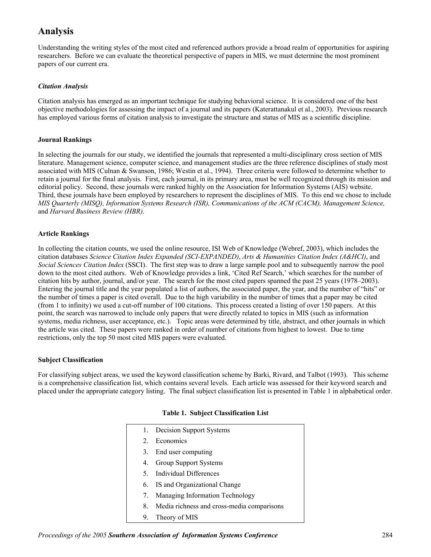# **Analysis**

Understanding the writing styles of the most cited and referenced authors provide a broad realm of opportunities for aspiring researchers. Before we can evaluate the theoretical perspective of papers in MIS, we must determine the most prominent papers of our current era.

### *Citation Analysis*

Citation analysis has emerged as an important technique for studying behavioral science. It is considered one of the best objective methodologies for assessing the impact of a journal and its papers (Katerattanakul et al., 2003). Previous research has employed various forms of citation analysis to investigate the structure and status of MIS as a scientific discipline.

### **Journal Rankings**

In selecting the journals for our study, we identified the journals that represented a multi-disciplinary cross section of MIS literature. Management science, computer science, and management studies are the three reference disciplines of study most associated with MIS (Culnan & Swanson, 1986; Westin et al., 1994). Three criteria were followed to determine whether to retain a journal for the final analysis. First, each journal, in its primary area, must be well recognized through its mission and editorial policy. Second, these journals were ranked highly on the Association for Information Systems (AIS) website. Third, these journals have been employed by researchers to represent the disciplines of MIS. To this end we chose to include *MIS Quarterly (MISQ), Information Systems Research (ISR), Communications of the ACM (CACM), Management Science,*  and *Harvard Business Review (HBR).* 

### **Article Rankings**

In collecting the citation counts, we used the online resource, ISI Web of Knowledge (Webref, 2003), which includes the citation databases *Science Citation Index Expanded (SCI-EXPANDED)*, *Arts & Humanities Citation Index (A&HCI)*, and *Social Sciences Citation Index* (SSCI). The first step was to draw a large sample pool and to subsequently narrow the pool down to the most cited authors. Web of Knowledge provides a link, 'Cited Ref Search,' which searches for the number of citation hits by author, journal, and/or year. The search for the most cited papers spanned the past 25 years (1978–2003). Entering the journal title and the year populated a list of authors, the associated paper, the year, and the number of "hits" or the number of times a paper is cited overall. Due to the high variability in the number of times that a paper may be cited (from 1 to infinity) we used a cut-off number of 100 citations. This process created a listing of over 150 papers. At this point, the search was narrowed to include only papers that were directly related to topics in MIS (such as information systems, media richness, user acceptance, etc.). Topic areas were determined by title, abstract, and other journals in which the article was cited. These papers were ranked in order of number of citations from highest to lowest. Due to time restrictions, only the top 50 most cited MIS papers were evaluated.

### **Subject Classification**

For classifying subject areas, we used the keyword classification scheme by Barki, Rivard, and Talbot (1993). This scheme is a comprehensive classification list, which contains several levels. Each article was assessed for their keyword search and placed under the appropriate category listing. The final subject classification list is presented in Table 1 in alphabetical order.

|  |  | Table 1. Subject Classification List |  |
|--|--|--------------------------------------|--|
|--|--|--------------------------------------|--|

|             | 1. Decision Support Systems                |
|-------------|--------------------------------------------|
| $2^{\circ}$ | Economics                                  |
|             | 3. End user computing                      |
| 4.          | Group Support Systems                      |
|             | 5. Individual Differences                  |
|             | 6. IS and Organizational Change            |
| 7.          | Managing Information Technology            |
| 8.          | Media richness and cross-media comparisons |
| 9.          | Theory of MIS                              |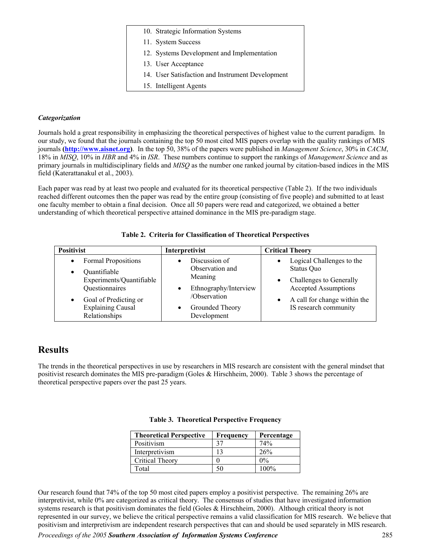| 10. Strategic Information Systems                |
|--------------------------------------------------|
| 11. System Success                               |
| 12. Systems Development and Implementation       |
| 13. User Acceptance                              |
| 14. User Satisfaction and Instrument Development |
| 15. Intelligent Agents                           |

### *Categorization*

Journals hold a great responsibility in emphasizing the theoretical perspectives of highest value to the current paradigm. In our study, we found that the journals containing the top 50 most cited MIS papers overlap with the quality rankings of MIS journals **[\(http://www.aisnet.org\)](http://www.aisnet.org/)**. In the top 50, 38% of the papers were published in *Management Science*, 30% in *CACM*, 18% in *MISQ*, 10% in *HBR* and 4% in *ISR*. These numbers continue to support the rankings of *Management Science* and as primary journals in multidisciplinary fields and *MISQ* as the number one ranked journal by citation-based indices in the MIS field (Katerattanakul et al., 2003).

Each paper was read by at least two people and evaluated for its theoretical perspective (Table 2). If the two individuals reached different outcomes then the paper was read by the entire group (consisting of five people) and submitted to at least one faculty member to obtain a final decision. Once all 50 papers were read and categorized, we obtained a better understanding of which theoretical perspective attained dominance in the MIS pre-paradigm stage.

| <b>Positivist</b>                                                                                                                                                                 | Interpretivist                                                                                                         | <b>Critical Theory</b>                                                                                                                                     |
|-----------------------------------------------------------------------------------------------------------------------------------------------------------------------------------|------------------------------------------------------------------------------------------------------------------------|------------------------------------------------------------------------------------------------------------------------------------------------------------|
| Formal Propositions<br>$\bullet$<br>Quantifiable<br>$\bullet$<br>Experiments/Quantifiable<br>Questionnaires<br>Goal of Predicting or<br><b>Explaining Causal</b><br>Relationships | Discussion of<br>Observation and<br>Meaning<br>Ethnography/Interview<br>/Observation<br>Grounded Theory<br>Development | Logical Challenges to the<br>Status Quo<br>Challenges to Generally<br><b>Accepted Assumptions</b><br>A call for change within the<br>IS research community |

|  |  | Table 2. Criteria for Classification of Theoretical Perspectives |  |
|--|--|------------------------------------------------------------------|--|
|  |  |                                                                  |  |

## **Results**

The trends in the theoretical perspectives in use by researchers in MIS research are consistent with the general mindset that positivist research dominates the MIS pre-paradigm (Goles & Hirschheim, 2000). Table 3 shows the percentage of theoretical perspective papers over the past 25 years.

| <b>Theoretical Perspective</b> | <b>Frequency</b> | Percentage |
|--------------------------------|------------------|------------|
| Positivism                     |                  | 74%        |
| Interpretivism                 |                  | 26%        |
| Critical Theory                |                  | $0\%$      |
| Total                          | 50               | $100\%$    |

**Table 3. Theoretical Perspective Frequency** 

Our research found that 74% of the top 50 most cited papers employ a positivist perspective. The remaining 26% are interpretivist, while 0% are categorized as critical theory. The consensus of studies that have investigated information systems research is that positivism dominates the field (Goles & Hirschheim, 2000). Although critical theory is not represented in our survey, we believe the critical perspective remains a valid classification for MIS research. We believe that positivism and interpretivism are independent research perspectives that can and should be used separately in MIS research.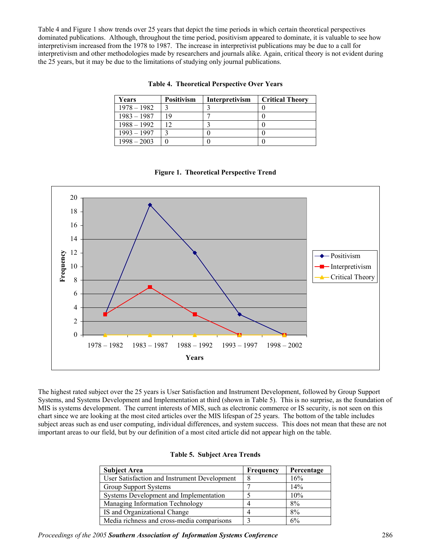Table 4 and Figure 1 show trends over 25 years that depict the time periods in which certain theoretical perspectives dominated publications. Although, throughout the time period, positivism appeared to dominate, it is valuable to see how interpretivism increased from the 1978 to 1987. The increase in interpretivist publications may be due to a call for interpretivism and other methodologies made by researchers and journals alike. Again, critical theory is not evident during the 25 years, but it may be due to the limitations of studying only journal publications.

| Years         | <b>Positivism</b> | Interpretivism | <b>Critical Theory</b> |
|---------------|-------------------|----------------|------------------------|
| $1978 - 1982$ |                   |                |                        |
| $1983 - 1987$ | 19                |                |                        |
| $1988 - 1992$ | 12                |                |                        |
| $1993 - 1997$ |                   |                |                        |
| $1998 - 2003$ |                   |                |                        |

#### **Table 4. Theoretical Perspective Over Years**



### **Figure 1. Theoretical Perspective Trend**

The highest rated subject over the 25 years is User Satisfaction and Instrument Development, followed by Group Support Systems, and Systems Development and Implementation at third (shown in Table 5). This is no surprise, as the foundation of MIS is systems development. The current interests of MIS, such as electronic commerce or IS security, is not seen on this chart since we are looking at the most cited articles over the MIS lifespan of 25 years. The bottom of the table includes subject areas such as end user computing, individual differences, and system success. This does not mean that these are not important areas to our field, but by our definition of a most cited article did not appear high on the table.

#### **Table 5. Subject Area Trends**

| <b>Subject Area</b>                          | Frequency | Percentage |
|----------------------------------------------|-----------|------------|
| User Satisfaction and Instrument Development | 8         | 16%        |
| Group Support Systems                        |           | 14%        |
| Systems Development and Implementation       |           | 10%        |
| Managing Information Technology              |           | 8%         |
| IS and Organizational Change                 |           | 8%         |
| Media richness and cross-media comparisons   |           | 6%         |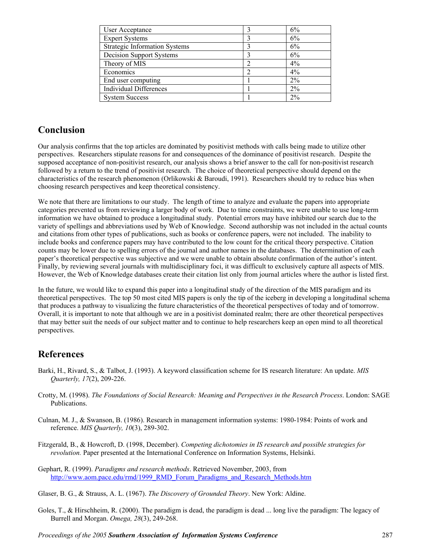| User Acceptance                      | 6%    |
|--------------------------------------|-------|
| <b>Expert Systems</b>                | 6%    |
| <b>Strategic Information Systems</b> | 6%    |
| Decision Support Systems             | 6%    |
| Theory of MIS                        | 4%    |
| Economics                            | 4%    |
| End user computing                   | $2\%$ |
| <b>Individual Differences</b>        | $2\%$ |
| <b>System Success</b>                | $2\%$ |

## **Conclusion**

Our analysis confirms that the top articles are dominated by positivist methods with calls being made to utilize other perspectives. Researchers stipulate reasons for and consequences of the dominance of positivist research. Despite the supposed acceptance of non-positivist research, our analysis shows a brief answer to the call for non-positivist research followed by a return to the trend of positivist research. The choice of theoretical perspective should depend on the characteristics of the research phenomenon (Orlikowski & Baroudi, 1991). Researchers should try to reduce bias when choosing research perspectives and keep theoretical consistency.

We note that there are limitations to our study. The length of time to analyze and evaluate the papers into appropriate categories prevented us from reviewing a larger body of work. Due to time constraints, we were unable to use long-term information we have obtained to produce a longitudinal study. Potential errors may have inhibited our search due to the variety of spellings and abbreviations used by Web of Knowledge. Second authorship was not included in the actual counts and citations from other types of publications, such as books or conference papers, were not included. The inability to include books and conference papers may have contributed to the low count for the critical theory perspective. Citation counts may be lower due to spelling errors of the journal and author names in the databases. The determination of each paper's theoretical perspective was subjective and we were unable to obtain absolute confirmation of the author's intent. Finally, by reviewing several journals with multidisciplinary foci, it was difficult to exclusively capture all aspects of MIS. However, the Web of Knowledge databases create their citation list only from journal articles where the author is listed first.

In the future, we would like to expand this paper into a longitudinal study of the direction of the MIS paradigm and its theoretical perspectives. The top 50 most cited MIS papers is only the tip of the iceberg in developing a longitudinal schema that produces a pathway to visualizing the future characteristics of the theoretical perspectives of today and of tomorrow. Overall, it is important to note that although we are in a positivist dominated realm; there are other theoretical perspectives that may better suit the needs of our subject matter and to continue to help researchers keep an open mind to all theoretical perspectives.

### **References**

- Barki, H., Rivard, S., & Talbot, J. (1993). A keyword classification scheme for IS research literature: An update. *MIS Quarterly, 17*(2), 209-226.
- Crotty, M. (1998). *The Foundations of Social Research: Meaning and Perspectives in the Research Process*. London: SAGE Publications.
- Culnan, M. J., & Swanson, B. (1986). Research in management information systems: 1980-1984: Points of work and reference. *MIS Quarterly, 10*(3), 289-302.
- Fitzgerald, B., & Howcroft, D. (1998, December). *Competing dichotomies in IS research and possible strategies for revolution.* Paper presented at the International Conference on Information Systems, Helsinki.
- Gephart, R. (1999). *Paradigms and research methods*. Retrieved November, 2003, from [http://www.aom.pace.edu/rmd/1999\\_RMD\\_Forum\\_Paradigms\\_and\\_Research\\_Methods.htm](http://www.aom.pace.edu/rmd/1999_RMD_Forum_Paradigms_and_Research_Methods.htm)
- Glaser, B. G., & Strauss, A. L. (1967). *The Discovery of Grounded Theory*. New York: Aldine.
- Goles, T., & Hirschheim, R. (2000). The paradigm is dead, the paradigm is dead ... long live the paradigm: The legacy of Burrell and Morgan. *Omega, 28*(3), 249-268.